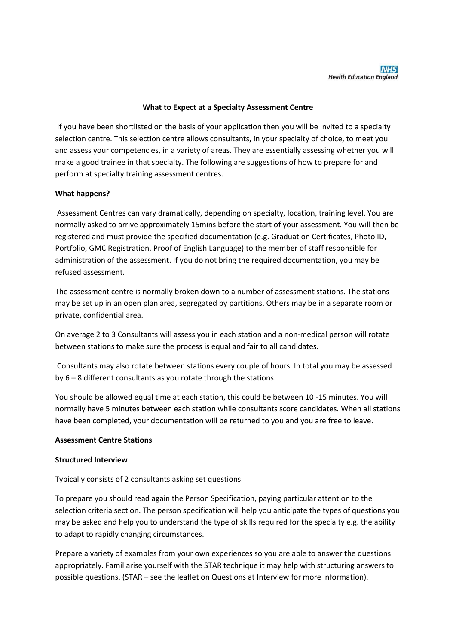## **What to Expect at a Specialty Assessment Centre**

If you have been shortlisted on the basis of your application then you will be invited to a specialty selection centre. This selection centre allows consultants, in your specialty of choice, to meet you and assess your competencies, in a variety of areas. They are essentially assessing whether you will make a good trainee in that specialty. The following are suggestions of how to prepare for and perform at specialty training assessment centres.

### **What happens?**

Assessment Centres can vary dramatically, depending on specialty, location, training level. You are normally asked to arrive approximately 15mins before the start of your assessment. You will then be registered and must provide the specified documentation (e.g. Graduation Certificates, Photo ID, Portfolio, GMC Registration, Proof of English Language) to the member of staff responsible for administration of the assessment. If you do not bring the required documentation, you may be refused assessment.

The assessment centre is normally broken down to a number of assessment stations. The stations may be set up in an open plan area, segregated by partitions. Others may be in a separate room or private, confidential area.

On average 2 to 3 Consultants will assess you in each station and a non-medical person will rotate between stations to make sure the process is equal and fair to all candidates.

Consultants may also rotate between stations every couple of hours. In total you may be assessed by 6 – 8 different consultants as you rotate through the stations.

You should be allowed equal time at each station, this could be between 10 -15 minutes. You will normally have 5 minutes between each station while consultants score candidates. When all stations have been completed, your documentation will be returned to you and you are free to leave.

#### **Assessment Centre Stations**

#### **Structured Interview**

Typically consists of 2 consultants asking set questions.

To prepare you should read again the Person Specification, paying particular attention to the selection criteria section. The person specification will help you anticipate the types of questions you may be asked and help you to understand the type of skills required for the specialty e.g. the ability to adapt to rapidly changing circumstances.

Prepare a variety of examples from your own experiences so you are able to answer the questions appropriately. Familiarise yourself with the STAR technique it may help with structuring answers to possible questions. (STAR – see the leaflet on Questions at Interview for more information).